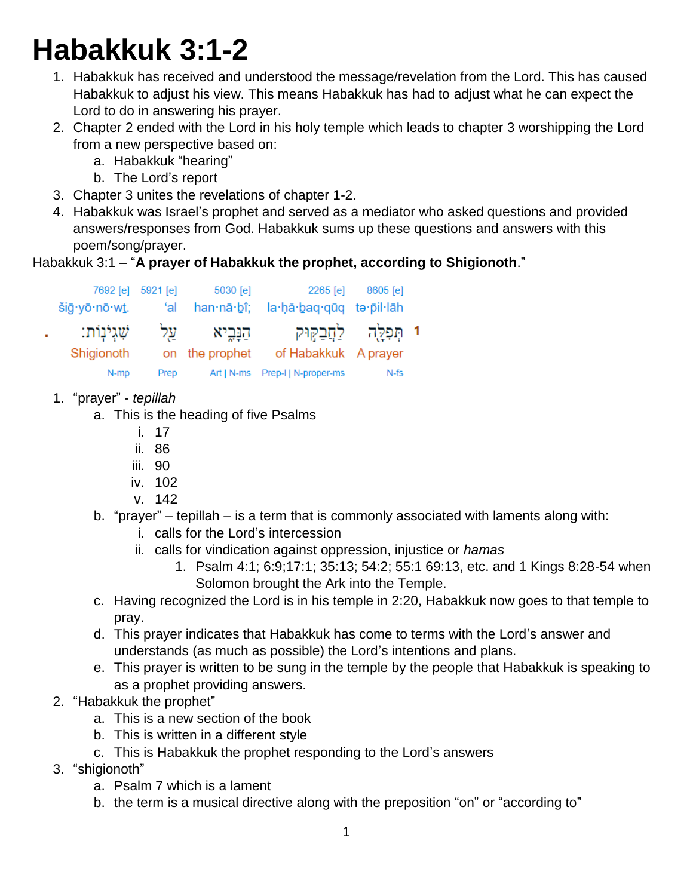## **Habakkuk 3:1-2**

- 1. Habakkuk has received and understood the message/revelation from the Lord. This has caused Habakkuk to adjust his view. This means Habakkuk has had to adjust what he can expect the Lord to do in answering his prayer.
- 2. Chapter 2 ended with the Lord in his holy temple which leads to chapter 3 worshipping the Lord from a new perspective based on:
	- a. Habakkuk "hearing"
	- b. The Lord's report
- 3. Chapter 3 unites the revelations of chapter 1-2.
- 4. Habakkuk was Israel's prophet and served as a mediator who asked questions and provided answers/responses from God. Habakkuk sums up these questions and answers with this poem/song/prayer.

## Habakkuk 3:1 – "**A prayer of Habakkuk the prophet, according to Shigionoth**."

| 7692 [e] 5921 [e]<br>šiā·yō·nō·wt. | ʻal  | 5030 [e]<br>han·nā·bî; | 2265 [e]<br>la hă baq quq te pil lah | 8605 [e]                |  |
|------------------------------------|------|------------------------|--------------------------------------|-------------------------|--|
| שׁגִינות:                          | על   | הַנָּבֵיא              |                                      | 1 תִּפְלֵה לַחֲבַקִּוּק |  |
| Shigionoth                         |      | on the prophet         | of Habakkuk A prayer                 |                         |  |
| N-mp                               | Prep | Art   N-ms             | Prep-I   N-proper-ms                 | $N-fs$                  |  |

- 1. "prayer" *tepillah*
	- a. This is the heading of five Psalms
		- i. 17
		- ii. 86
		- iii. 90
		- iv. 102
		- v. 142
	- b. "prayer" tepillah is a term that is commonly associated with laments along with:
		- i. calls for the Lord's intercession
		- ii. calls for vindication against oppression, injustice or *hamas*
			- 1. Psalm 4:1; 6:9;17:1; 35:13; 54:2; 55:1 69:13, etc. and 1 Kings 8:28-54 when Solomon brought the Ark into the Temple.
	- c. Having recognized the Lord is in his temple in 2:20, Habakkuk now goes to that temple to pray.
	- d. This prayer indicates that Habakkuk has come to terms with the Lord's answer and understands (as much as possible) the Lord's intentions and plans.
	- e. This prayer is written to be sung in the temple by the people that Habakkuk is speaking to as a prophet providing answers.
- 2. "Habakkuk the prophet"
	- a. This is a new section of the book
	- b. This is written in a different style
	- c. This is Habakkuk the prophet responding to the Lord's answers
- 3. "shigionoth"
	- a. Psalm 7 which is a lament
	- b. the term is a musical directive along with the preposition "on" or "according to"